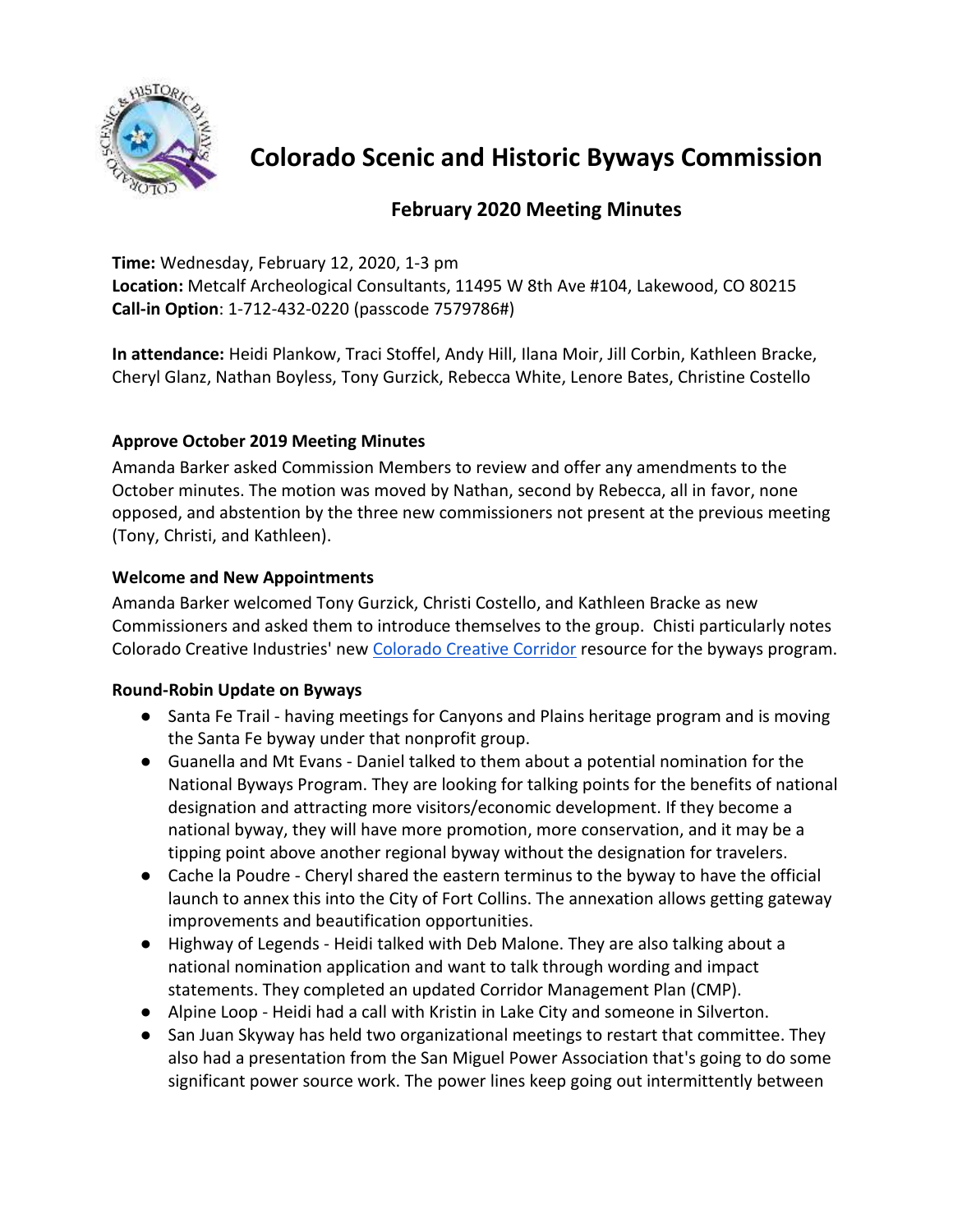

**Colorado Scenic and Historic Byways Commission** 

# **February 2020 Meeting Minutes**

**Time:** Wednesday, February 12, 2020, 1-3 pm

**Location:** Metcalf Archeological Consultants, 11495 W 8th Ave #104, Lakewood, CO 80215 **Call-in Option**: 1-712-432-0220 (passcode 7579786#)

**In attendance:** Heidi Plankow, Traci Stoffel, Andy Hill, Ilana Moir, Jill Corbin, Kathleen Bracke, Cheryl Glanz, Nathan Boyless, Tony Gurzick, Rebecca White, Lenore Bates, Christine Costello

# **Approve October 2019 Meeting Minutes**

Amanda Barker asked Commission Members to review and offer any amendments to the October minutes. The motion was moved by Nathan, second by Rebecca, all in favor, none opposed, and abstention by the three new commissioners not present at the previous meeting (Tony, Christi, and Kathleen).

# **Welcome and New Appointments**

Amanda Barker welcomed Tony Gurzick, Christi Costello, and Kathleen Bracke as new Commissioners and asked them to introduce themselves to the group. Chisti particularly notes Colorado Creative Industries' new [Colorado Creative Corridor](https://www.colorado.com/creative-corridor-channel) resource for the byways program.

### **Round-Robin Update on Byways**

- Santa Fe Trail having meetings for Canyons and Plains heritage program and is moving the Santa Fe byway under that nonprofit group.
- Guanella and Mt Evans Daniel talked to them about a potential nomination for the National Byways Program. They are looking for talking points for the benefits of national designation and attracting more visitors/economic development. If they become a national byway, they will have more promotion, more conservation, and it may be a tipping point above another regional byway without the designation for travelers.
- Cache la Poudre Cheryl shared the eastern terminus to the byway to have the official launch to annex this into the City of Fort Collins. The annexation allows getting gateway improvements and beautification opportunities.
- Highway of Legends Heidi talked with Deb Malone. They are also talking about a national nomination application and want to talk through wording and impact statements. They completed an updated Corridor Management Plan (CMP).
- Alpine Loop Heidi had a call with Kristin in Lake City and someone in Silverton.
- San Juan Skyway has held two organizational meetings to restart that committee. They also had a presentation from the San Miguel Power Association that's going to do some significant power source work. The power lines keep going out intermittently between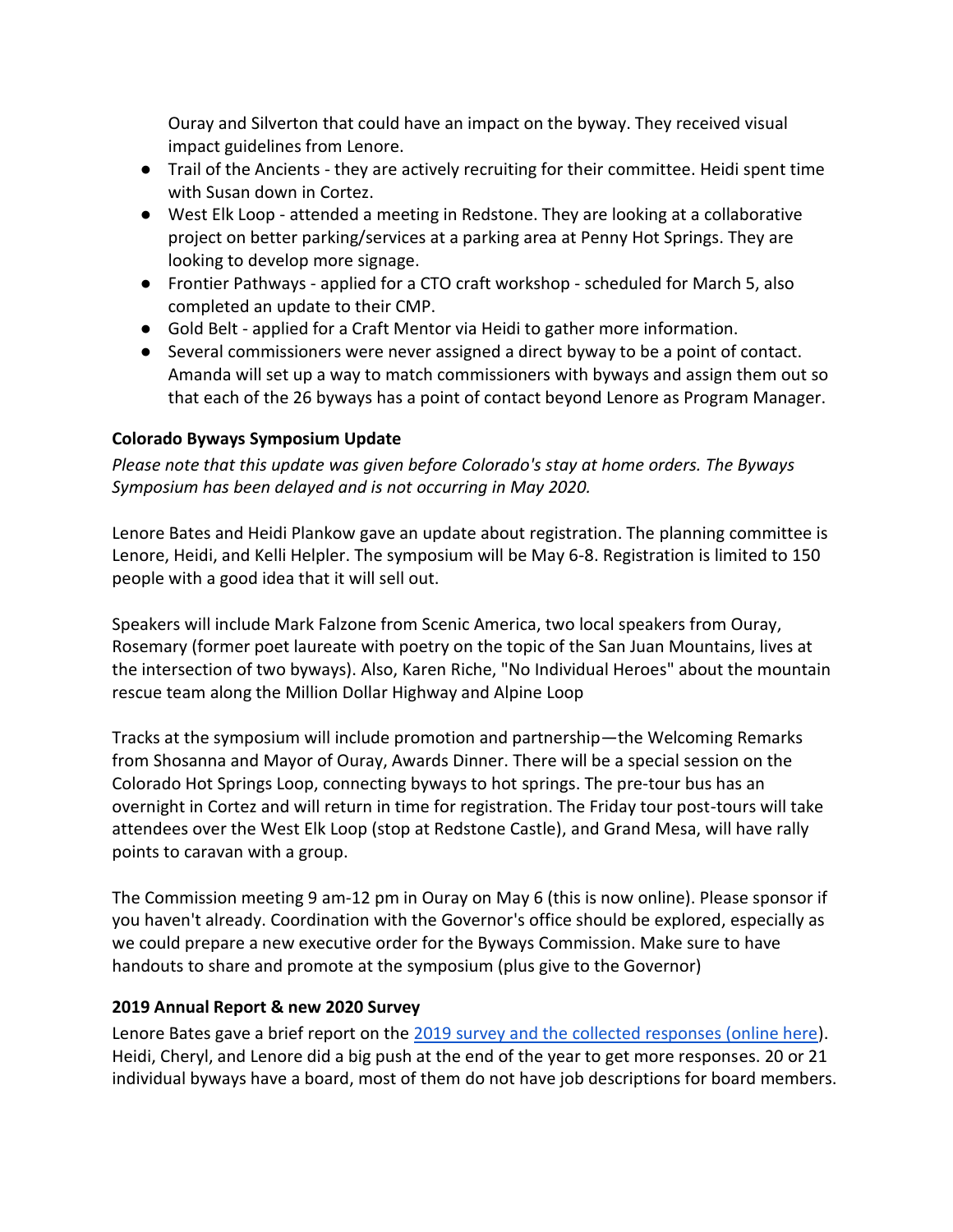Ouray and Silverton that could have an impact on the byway. They received visual impact guidelines from Lenore.

- Trail of the Ancients they are actively recruiting for their committee. Heidi spent time with Susan down in Cortez.
- West Elk Loop attended a meeting in Redstone. They are looking at a collaborative project on better parking/services at a parking area at Penny Hot Springs. They are looking to develop more signage.
- Frontier Pathways applied for a CTO craft workshop scheduled for March 5, also completed an update to their CMP.
- Gold Belt applied for a Craft Mentor via Heidi to gather more information.
- Several commissioners were never assigned a direct byway to be a point of contact. Amanda will set up a way to match commissioners with byways and assign them out so that each of the 26 byways has a point of contact beyond Lenore as Program Manager.

### **Colorado Byways Symposium Update**

*Please note that this update was given before Colorado's stay at home orders. The Byways Symposium has been delayed and is not occurring in May 2020.* 

Lenore Bates and Heidi Plankow gave an update about registration. The planning committee is Lenore, Heidi, and Kelli Helpler. The symposium will be May 6-8. Registration is limited to 150 people with a good idea that it will sell out.

Speakers will include Mark Falzone from Scenic America, two local speakers from Ouray, Rosemary (former poet laureate with poetry on the topic of the San Juan Mountains, lives at the intersection of two byways). Also, Karen Riche, "No Individual Heroes" about the mountain rescue team along the Million Dollar Highway and Alpine Loop

Tracks at the symposium will include promotion and partnership—the Welcoming Remarks from Shosanna and Mayor of Ouray, Awards Dinner. There will be a special session on the Colorado Hot Springs Loop, connecting byways to hot springs. The pre-tour bus has an overnight in Cortez and will return in time for registration. The Friday tour post-tours will take attendees over the West Elk Loop (stop at Redstone Castle), and Grand Mesa, will have rally points to caravan with a group.

The Commission meeting 9 am-12 pm in Ouray on May 6 (this is now online). Please sponsor if you haven't already. Coordination with the Governor's office should be explored, especially as we could prepare a new executive order for the Byways Commission. Make sure to have handouts to share and promote at the symposium (plus give to the Governor)

### **2019 Annual Report & new 2020 Survey**

Lenore Bates gave a brief report on the [2019 survey and the collected responses \(online here\)](https://docs.google.com/spreadsheets/d/1GHQpxK06Ic2SMpm3exPcJ2ro-BgHURjmfs2U5hpg5NI/edit?usp=sharing). Heidi, Cheryl, and Lenore did a big push at the end of the year to get more responses. 20 or 21 individual byways have a board, most of them do not have job descriptions for board members.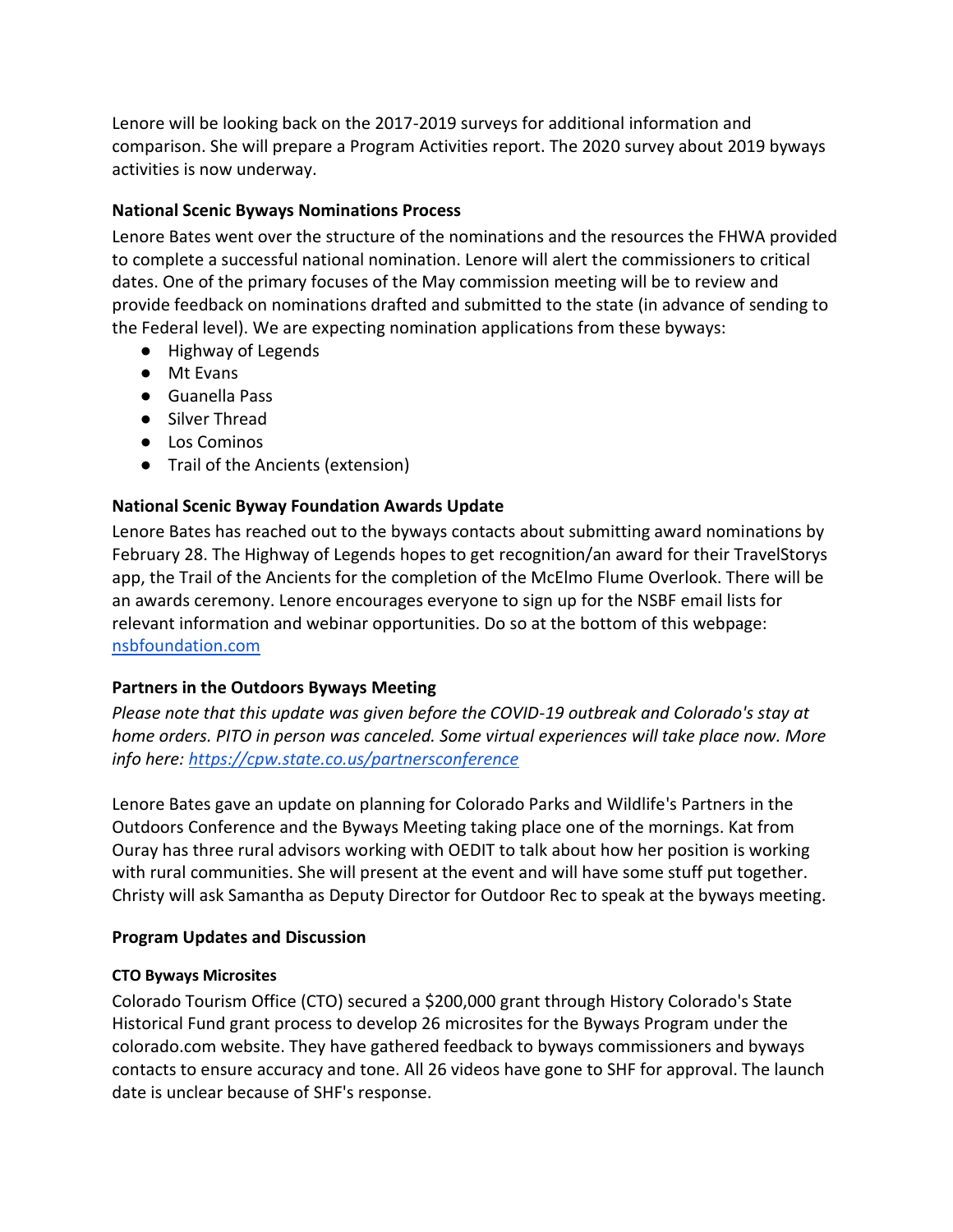Lenore will be looking back on the 2017-2019 surveys for additional information and comparison. She will prepare a Program Activities report. The 2020 survey about 2019 byways activities is now underway.

### **National Scenic Byways Nominations Process**

Lenore Bates went over the structure of the nominations and the resources the FHWA provided to complete a successful national nomination. Lenore will alert the commissioners to critical dates. One of the primary focuses of the May commission meeting will be to review and provide feedback on nominations drafted and submitted to the state (in advance of sending to the Federal level). We are expecting nomination applications from these byways:

- Highway of Legends
- Mt Evans
- Guanella Pass
- Silver Thread
- Los Cominos
- Trail of the Ancients (extension)

# **National Scenic Byway Foundation Awards Update**

Lenore Bates has reached out to the byways contacts about submitting award nominations by February 28. The Highway of Legends hopes to get recognition/an award for their TravelStorys app, the Trail of the Ancients for the completion of the McElmo Flume Overlook. There will be an awards ceremony. Lenore encourages everyone to sign up for the NSBF email lists for relevant information and webinar opportunities. Do so at the bottom of this webpage: [nsbfoundation.com](https://nsbfoundation.com/)

### **Partners in the Outdoors Byways Meeting**

*Please note that this update was given before the COVID-19 outbreak and Colorado's stay at home orders. PITO in person was canceled. Some virtual experiences will take place now. More info here:<https://cpw.state.co.us/partnersconference>*

Lenore Bates gave an update on planning for Colorado Parks and Wildlife's Partners in the Outdoors Conference and the Byways Meeting taking place one of the mornings. Kat from Ouray has three rural advisors working with OEDIT to talk about how her position is working with rural communities. She will present at the event and will have some stuff put together. Christy will ask Samantha as Deputy Director for Outdoor Rec to speak at the byways meeting.

### **Program Updates and Discussion**

### **CTO Byways Microsites**

Colorado Tourism Office (CTO) secured a \$200,000 grant through History Colorado's State Historical Fund grant process to develop 26 microsites for the Byways Program under the colorado.com website. They have gathered feedback to byways commissioners and byways contacts to ensure accuracy and tone. All 26 videos have gone to SHF for approval. The launch date is unclear because of SHF's response.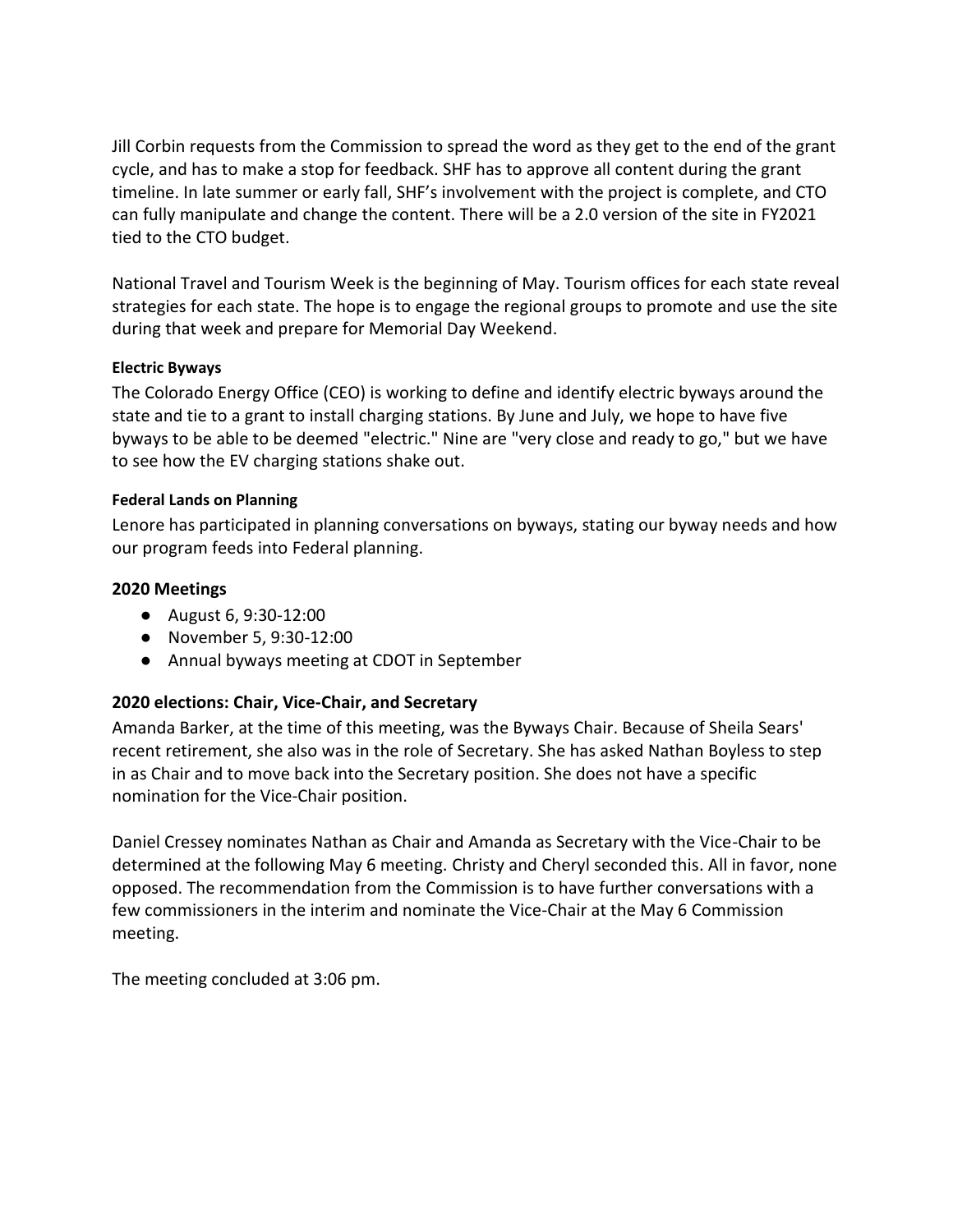Jill Corbin requests from the Commission to spread the word as they get to the end of the grant cycle, and has to make a stop for feedback. SHF has to approve all content during the grant timeline. In late summer or early fall, SHF's involvement with the project is complete, and CTO can fully manipulate and change the content. There will be a 2.0 version of the site in FY2021 tied to the CTO budget.

National Travel and Tourism Week is the beginning of May. Tourism offices for each state reveal strategies for each state. The hope is to engage the regional groups to promote and use the site during that week and prepare for Memorial Day Weekend.

#### **Electric Byways**

The Colorado Energy Office (CEO) is working to define and identify electric byways around the state and tie to a grant to install charging stations. By June and July, we hope to have five byways to be able to be deemed "electric." Nine are "very close and ready to go," but we have to see how the EV charging stations shake out.

#### **Federal Lands on Planning**

Lenore has participated in planning conversations on byways, stating our byway needs and how our program feeds into Federal planning.

#### **2020 Meetings**

- August 6, 9:30-12:00
- November 5, 9:30-12:00
- Annual byways meeting at CDOT in September

### **2020 elections: Chair, Vice-Chair, and Secretary**

Amanda Barker, at the time of this meeting, was the Byways Chair. Because of Sheila Sears' recent retirement, she also was in the role of Secretary. She has asked Nathan Boyless to step in as Chair and to move back into the Secretary position. She does not have a specific nomination for the Vice-Chair position.

Daniel Cressey nominates Nathan as Chair and Amanda as Secretary with the Vice-Chair to be determined at the following May 6 meeting. Christy and Cheryl seconded this. All in favor, none opposed. The recommendation from the Commission is to have further conversations with a few commissioners in the interim and nominate the Vice-Chair at the May 6 Commission meeting.

The meeting concluded at 3:06 pm.